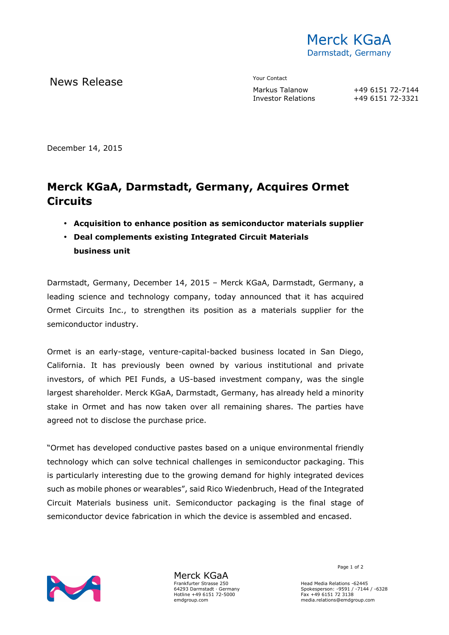

News Release The Contact Terms and Markus Talanow

Investor Relations

+49 6151 72-7144<br>+49 6151 72-3321

December 14, 2015

## **Merck KGaA, Darmstadt, Germany, Acquires Ormet Circuits**

- **Acquisition to enhance position as semiconductor materials supplier**
- **Deal complements existing Integrated Circuit Materials business unit**

Darmstadt, Germany, December 14, 2015 – Merck KGaA, Darmstadt, Germany, a leading science and technology company, today announced that it has acquired Ormet Circuits Inc., to strengthen its position as a materials supplier for the semiconductor industry.

Ormet is an early-stage, venture-capital-backed business located in San Diego, California. It has previously been owned by various institutional and private investors, of which PEI Funds, a US-based investment company, was the single largest shareholder. Merck KGaA, Darmstadt, Germany, has already held a minority stake in Ormet and has now taken over all remaining shares. The parties have agreed not to disclose the purchase price.

"Ormet has developed conductive pastes based on a unique environmental friendly technology which can solve technical challenges in semiconductor packaging. This is particularly interesting due to the growing demand for highly integrated devices such as mobile phones or wearables", said Rico Wiedenbruch, Head of the Integrated Circuit Materials business unit. Semiconductor packaging is the final stage of semiconductor device fabrication in which the device is assembled and encased.



Merck KGaA Frankfurter Strasse 250 64293 Darmstadt · Germany Hotline +49 6151 72-5000 emdgroup.com

Page 1 of 2

Head Media Relations -62445 Spokesperson: -9591 / -7144 / -6328 Fax +49 6151 72 3138 media.relations@emdgroup.com